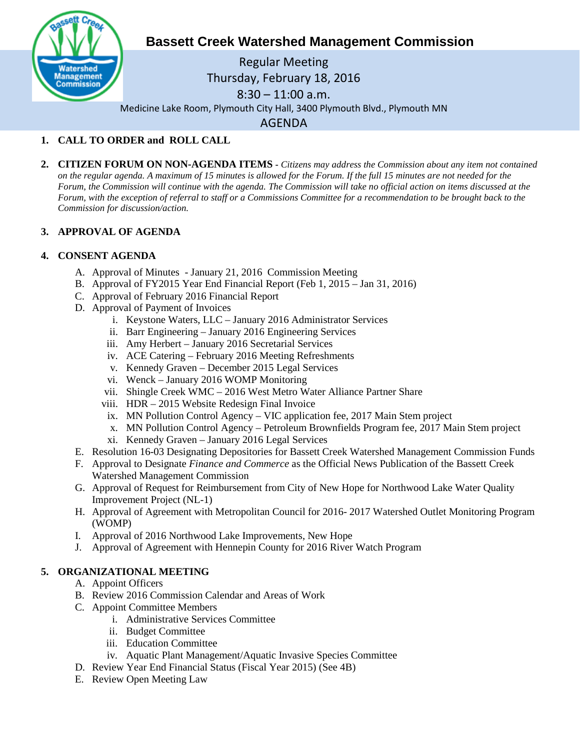

# **Bassett Creek Watershed Management Commission**

Regular Meeting Thursday, February 18, 2016 8:30 – 11:00 a.m. Medicine Lake Room, Plymouth City Hall, 3400 Plymouth Blvd., Plymouth MN AGENDA

## **1. CALL TO ORDER and ROLL CALL**

**2. CITIZEN FORUM ON NON-AGENDA ITEMS -** *Citizens may address the Commission about any item not contained on the regular agenda. A maximum of 15 minutes is allowed for the Forum. If the full 15 minutes are not needed for the Forum, the Commission will continue with the agenda. The Commission will take no official action on items discussed at the Forum, with the exception of referral to staff or a Commissions Committee for a recommendation to be brought back to the Commission for discussion/action.*

### **3. APPROVAL OF AGENDA**

#### **4. CONSENT AGENDA**

- A. Approval of Minutes January 21, 2016 Commission Meeting
- B. Approval of FY2015 Year End Financial Report (Feb 1, 2015 Jan 31, 2016)
- C. Approval of February 2016 Financial Report
- D. Approval of Payment of Invoices
	- i. Keystone Waters, LLC January 2016 Administrator Services
	- ii. Barr Engineering January 2016 Engineering Services
	- iii. Amy Herbert January 2016 Secretarial Services
	- iv. ACE Catering February 2016 Meeting Refreshments
	- v. Kennedy Graven December 2015 Legal Services
	- vi. Wenck January 2016 WOMP Monitoring
	- vii. Shingle Creek WMC 2016 West Metro Water Alliance Partner Share
	- viii. HDR 2015 Website Redesign Final Invoice
	- ix. MN Pollution Control Agency VIC application fee, 2017 Main Stem project
	- x. MN Pollution Control Agency Petroleum Brownfields Program fee, 2017 Main Stem project
	- xi. Kennedy Graven January 2016 Legal Services
- E. Resolution 16-03 Designating Depositories for Bassett Creek Watershed Management Commission Funds
- F. Approval to Designate *Finance and Commerce* as the Official News Publication of the Bassett Creek Watershed Management Commission
- G. Approval of Request for Reimbursement from City of New Hope for Northwood Lake Water Quality Improvement Project (NL-1)
- H. Approval of Agreement with Metropolitan Council for 2016- 2017 Watershed Outlet Monitoring Program (WOMP)
- I. Approval of 2016 Northwood Lake Improvements, New Hope
- J. Approval of Agreement with Hennepin County for 2016 River Watch Program

#### **5. ORGANIZATIONAL MEETING**

- A. Appoint Officers
- B. Review 2016 Commission Calendar and Areas of Work
- C. Appoint Committee Members
	- i. Administrative Services Committee
		- ii. Budget Committee
		- iii. Education Committee
	- iv. Aquatic Plant Management/Aquatic Invasive Species Committee
- D. Review Year End Financial Status (Fiscal Year 2015) (See 4B)
- E. Review Open Meeting Law